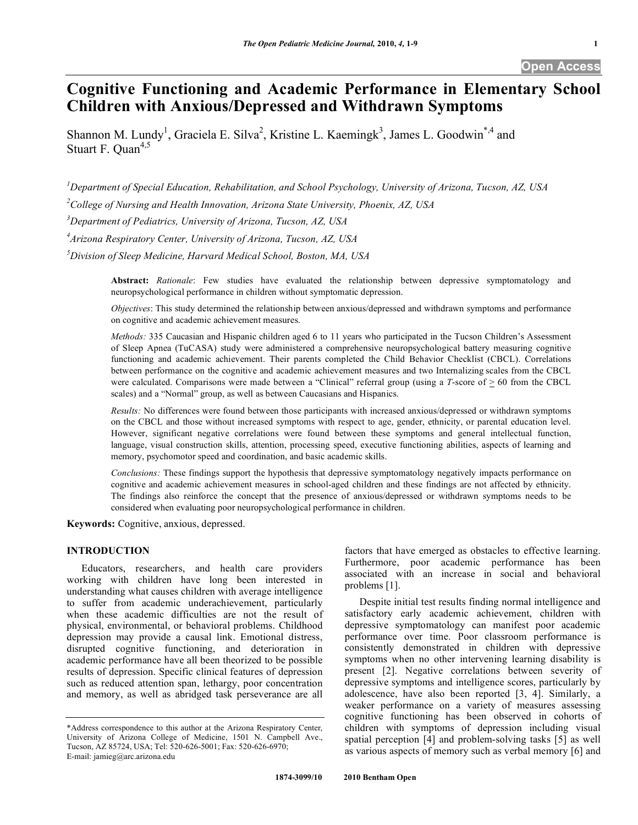# **Cognitive Functioning and Academic Performance in Elementary School Children with Anxious/Depressed and Withdrawn Symptoms**

Shannon M. Lundy<sup>1</sup>, Graciela E. Silva<sup>2</sup>, Kristine L. Kaemingk<sup>3</sup>, James L. Goodwin<sup>\*,4</sup> and Stuart F. Quan $4,5$ 

*1 Department of Special Education, Rehabilitation, and School Psychology, University of Arizona, Tucson, AZ, USA* 

*2 College of Nursing and Health Innovation, Arizona State University, Phoenix, AZ, USA* 

*3 Department of Pediatrics, University of Arizona, Tucson, AZ, USA* 

*4 Arizona Respiratory Center, University of Arizona, Tucson, AZ, USA* 

*5 Division of Sleep Medicine, Harvard Medical School, Boston, MA, USA* 

**Abstract:** *Rationale*: Few studies have evaluated the relationship between depressive symptomatology and neuropsychological performance in children without symptomatic depression.

*Objectives*: This study determined the relationship between anxious/depressed and withdrawn symptoms and performance on cognitive and academic achievement measures.

*Methods:* 335 Caucasian and Hispanic children aged 6 to 11 years who participated in the Tucson Children's Assessment of Sleep Apnea (TuCASA) study were administered a comprehensive neuropsychological battery measuring cognitive functioning and academic achievement. Their parents completed the Child Behavior Checklist (CBCL). Correlations between performance on the cognitive and academic achievement measures and two Internalizing scales from the CBCL were calculated. Comparisons were made between a "Clinical" referral group (using a *T*-score of > 60 from the CBCL scales) and a "Normal" group, as well as between Caucasians and Hispanics.

*Results:* No differences were found between those participants with increased anxious/depressed or withdrawn symptoms on the CBCL and those without increased symptoms with respect to age, gender, ethnicity, or parental education level. However, significant negative correlations were found between these symptoms and general intellectual function, language, visual construction skills, attention, processing speed, executive functioning abilities, aspects of learning and memory, psychomotor speed and coordination, and basic academic skills.

*Conclusions:* These findings support the hypothesis that depressive symptomatology negatively impacts performance on cognitive and academic achievement measures in school-aged children and these findings are not affected by ethnicity. The findings also reinforce the concept that the presence of anxious/depressed or withdrawn symptoms needs to be considered when evaluating poor neuropsychological performance in children.

**Keywords:** Cognitive, anxious, depressed.

## **INTRODUCTION**

 Educators, researchers, and health care providers working with children have long been interested in understanding what causes children with average intelligence to suffer from academic underachievement, particularly when these academic difficulties are not the result of physical, environmental, or behavioral problems. Childhood depression may provide a causal link. Emotional distress, disrupted cognitive functioning, and deterioration in academic performance have all been theorized to be possible results of depression. Specific clinical features of depression such as reduced attention span, lethargy, poor concentration and memory, as well as abridged task perseverance are all factors that have emerged as obstacles to effective learning. Furthermore, poor academic performance has been associated with an increase in social and behavioral problems [1].

 Despite initial test results finding normal intelligence and satisfactory early academic achievement, children with depressive symptomatology can manifest poor academic performance over time. Poor classroom performance is consistently demonstrated in children with depressive symptoms when no other intervening learning disability is present [2]. Negative correlations between severity of depressive symptoms and intelligence scores, particularly by adolescence, have also been reported [3, 4]. Similarly, a weaker performance on a variety of measures assessing cognitive functioning has been observed in cohorts of children with symptoms of depression including visual spatial perception [4] and problem-solving tasks [5] as well as various aspects of memory such as verbal memory [6] and

<sup>\*</sup>Address correspondence to this author at the Arizona Respiratory Center, University of Arizona College of Medicine, 1501 N. Campbell Ave., Tucson, AZ 85724, USA; Tel: 520-626-5001; Fax: 520-626-6970; E-mail: jamieg@arc.arizona.edu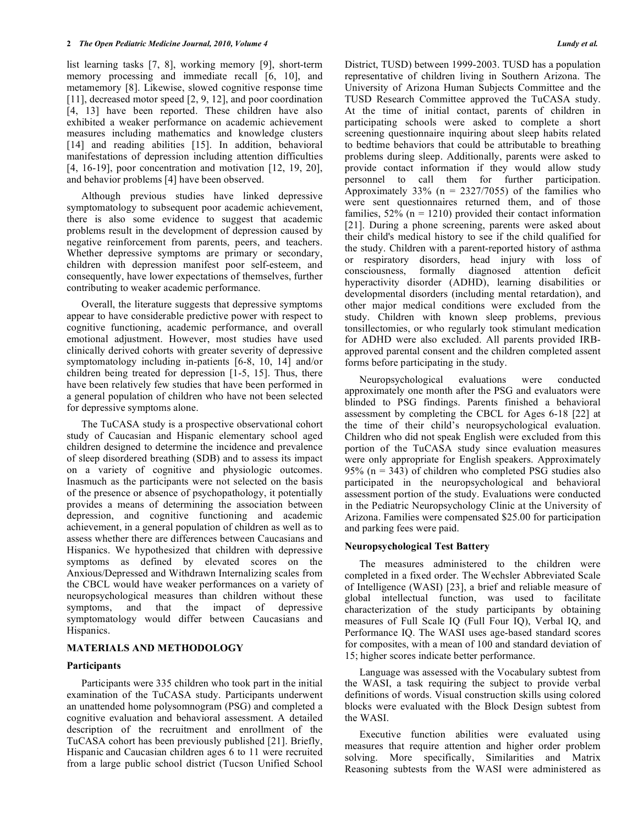list learning tasks [7, 8], working memory [9], short-term memory processing and immediate recall [6, 10], and metamemory [8]. Likewise, slowed cognitive response time [11], decreased motor speed [2, 9, 12], and poor coordination [4, 13] have been reported. These children have also exhibited a weaker performance on academic achievement measures including mathematics and knowledge clusters [14] and reading abilities [15]. In addition, behavioral manifestations of depression including attention difficulties [4, 16-19], poor concentration and motivation [12, 19, 20], and behavior problems [4] have been observed.

 Although previous studies have linked depressive symptomatology to subsequent poor academic achievement, there is also some evidence to suggest that academic problems result in the development of depression caused by negative reinforcement from parents, peers, and teachers. Whether depressive symptoms are primary or secondary, children with depression manifest poor self-esteem, and consequently, have lower expectations of themselves, further contributing to weaker academic performance.

 Overall, the literature suggests that depressive symptoms appear to have considerable predictive power with respect to cognitive functioning, academic performance, and overall emotional adjustment. However, most studies have used clinically derived cohorts with greater severity of depressive symptomatology including in-patients [6-8, 10, 14] and/or children being treated for depression [1-5, 15]. Thus, there have been relatively few studies that have been performed in a general population of children who have not been selected for depressive symptoms alone.

 The TuCASA study is a prospective observational cohort study of Caucasian and Hispanic elementary school aged children designed to determine the incidence and prevalence of sleep disordered breathing (SDB) and to assess its impact on a variety of cognitive and physiologic outcomes. Inasmuch as the participants were not selected on the basis of the presence or absence of psychopathology, it potentially provides a means of determining the association between depression, and cognitive functioning and academic achievement, in a general population of children as well as to assess whether there are differences between Caucasians and Hispanics. We hypothesized that children with depressive symptoms as defined by elevated scores on the Anxious/Depressed and Withdrawn Internalizing scales from the CBCL would have weaker performances on a variety of neuropsychological measures than children without these symptoms, and that the impact of depressive symptomatology would differ between Caucasians and Hispanics.

#### **MATERIALS AND METHODOLOGY**

#### **Participants**

 Participants were 335 children who took part in the initial examination of the TuCASA study. Participants underwent an unattended home polysomnogram (PSG) and completed a cognitive evaluation and behavioral assessment. A detailed description of the recruitment and enrollment of the TuCASA cohort has been previously published [21]. Briefly, Hispanic and Caucasian children ages 6 to 11 were recruited from a large public school district (Tucson Unified School

District, TUSD) between 1999-2003. TUSD has a population representative of children living in Southern Arizona. The University of Arizona Human Subjects Committee and the TUSD Research Committee approved the TuCASA study. At the time of initial contact, parents of children in participating schools were asked to complete a short screening questionnaire inquiring about sleep habits related to bedtime behaviors that could be attributable to breathing problems during sleep. Additionally, parents were asked to provide contact information if they would allow study personnel to call them for further participation. Approximately 33% ( $n = 2327/7055$ ) of the families who were sent questionnaires returned them, and of those families,  $52\%$  (n = 1210) provided their contact information [21]. During a phone screening, parents were asked about their child's medical history to see if the child qualified for the study. Children with a parent-reported history of asthma or respiratory disorders, head injury with loss of consciousness, formally diagnosed attention deficit hyperactivity disorder (ADHD), learning disabilities or developmental disorders (including mental retardation), and other major medical conditions were excluded from the study. Children with known sleep problems, previous tonsillectomies, or who regularly took stimulant medication for ADHD were also excluded. All parents provided IRBapproved parental consent and the children completed assent forms before participating in the study.

 Neuropsychological evaluations were conducted approximately one month after the PSG and evaluators were blinded to PSG findings. Parents finished a behavioral assessment by completing the CBCL for Ages 6-18 [22] at the time of their child's neuropsychological evaluation. Children who did not speak English were excluded from this portion of the TuCASA study since evaluation measures were only appropriate for English speakers. Approximately 95% ( $n = 343$ ) of children who completed PSG studies also participated in the neuropsychological and behavioral assessment portion of the study. Evaluations were conducted in the Pediatric Neuropsychology Clinic at the University of Arizona. Families were compensated \$25.00 for participation and parking fees were paid.

#### **Neuropsychological Test Battery**

 The measures administered to the children were completed in a fixed order. The Wechsler Abbreviated Scale of Intelligence (WASI) [23], a brief and reliable measure of global intellectual function, was used to facilitate characterization of the study participants by obtaining measures of Full Scale IQ (Full Four IQ), Verbal IQ, and Performance IQ. The WASI uses age-based standard scores for composites, with a mean of 100 and standard deviation of 15; higher scores indicate better performance.

 Language was assessed with the Vocabulary subtest from the WASI, a task requiring the subject to provide verbal definitions of words. Visual construction skills using colored blocks were evaluated with the Block Design subtest from the WASI.

 Executive function abilities were evaluated using measures that require attention and higher order problem solving. More specifically, Similarities and Matrix Reasoning subtests from the WASI were administered as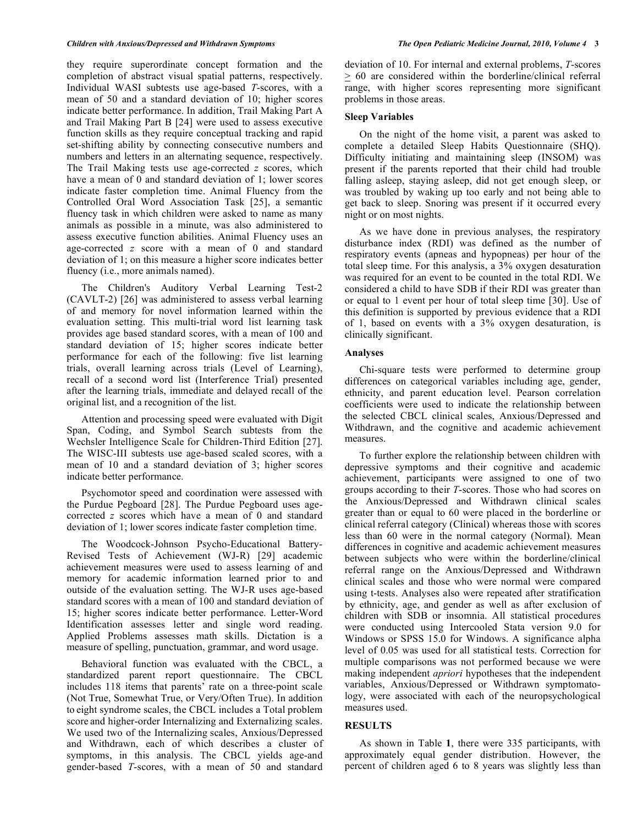they require superordinate concept formation and the completion of abstract visual spatial patterns, respectively. Individual WASI subtests use age-based *T*-scores, with a mean of 50 and a standard deviation of 10; higher scores indicate better performance. In addition, Trail Making Part A and Trail Making Part B [24] were used to assess executive function skills as they require conceptual tracking and rapid set-shifting ability by connecting consecutive numbers and numbers and letters in an alternating sequence, respectively. The Trail Making tests use age-corrected *z* scores, which have a mean of 0 and standard deviation of 1; lower scores indicate faster completion time. Animal Fluency from the Controlled Oral Word Association Task [25], a semantic fluency task in which children were asked to name as many animals as possible in a minute, was also administered to assess executive function abilities. Animal Fluency uses an age-corrected *z* score with a mean of 0 and standard deviation of 1; on this measure a higher score indicates better fluency (i.e., more animals named).

 The Children's Auditory Verbal Learning Test-2 (CAVLT-2) [26] was administered to assess verbal learning of and memory for novel information learned within the evaluation setting. This multi-trial word list learning task provides age based standard scores, with a mean of 100 and standard deviation of 15; higher scores indicate better performance for each of the following: five list learning trials, overall learning across trials (Level of Learning), recall of a second word list (Interference Trial) presented after the learning trials, immediate and delayed recall of the original list, and a recognition of the list.

 Attention and processing speed were evaluated with Digit Span, Coding, and Symbol Search subtests from the Wechsler Intelligence Scale for Children-Third Edition [27]. The WISC-III subtests use age-based scaled scores, with a mean of 10 and a standard deviation of 3; higher scores indicate better performance.

 Psychomotor speed and coordination were assessed with the Purdue Pegboard [28]. The Purdue Pegboard uses agecorrected *z* scores which have a mean of 0 and standard deviation of 1; lower scores indicate faster completion time.

 The Woodcock-Johnson Psycho-Educational Battery-Revised Tests of Achievement (WJ-R) [29] academic achievement measures were used to assess learning of and memory for academic information learned prior to and outside of the evaluation setting. The WJ-R uses age-based standard scores with a mean of 100 and standard deviation of 15; higher scores indicate better performance. Letter-Word Identification assesses letter and single word reading. Applied Problems assesses math skills. Dictation is a measure of spelling, punctuation, grammar, and word usage.

 Behavioral function was evaluated with the CBCL, a standardized parent report questionnaire. The CBCL includes 118 items that parents' rate on a three-point scale (Not True, Somewhat True, or Very/Often True). In addition to eight syndrome scales, the CBCL includes a Total problem score and higher-order Internalizing and Externalizing scales. We used two of the Internalizing scales, Anxious/Depressed and Withdrawn, each of which describes a cluster of symptoms, in this analysis. The CBCL yields age-and gender-based *T*-scores, with a mean of 50 and standard

deviation of 10. For internal and external problems, *T*-scores  $\geq 60$  are considered within the borderline/clinical referral range, with higher scores representing more significant problems in those areas.

#### **Sleep Variables**

On the night of the home visit, a parent was asked to complete a detailed Sleep Habits Questionnaire (SHQ). Difficulty initiating and maintaining sleep (INSOM) was present if the parents reported that their child had trouble falling asleep, staying asleep, did not get enough sleep, or was troubled by waking up too early and not being able to get back to sleep. Snoring was present if it occurred every night or on most nights.

 As we have done in previous analyses, the respiratory disturbance index (RDI) was defined as the number of respiratory events (apneas and hypopneas) per hour of the total sleep time. For this analysis, a 3% oxygen desaturation was required for an event to be counted in the total RDI. We considered a child to have SDB if their RDI was greater than or equal to 1 event per hour of total sleep time [30]. Use of this definition is supported by previous evidence that a RDI of 1, based on events with a 3% oxygen desaturation, is clinically significant.

### **Analyses**

 Chi-square tests were performed to determine group differences on categorical variables including age, gender, ethnicity, and parent education level. Pearson correlation coefficients were used to indicate the relationship between the selected CBCL clinical scales, Anxious/Depressed and Withdrawn, and the cognitive and academic achievement measures.

 To further explore the relationship between children with depressive symptoms and their cognitive and academic achievement, participants were assigned to one of two groups according to their *T*-scores. Those who had scores on the Anxious/Depressed and Withdrawn clinical scales greater than or equal to 60 were placed in the borderline or clinical referral category (Clinical) whereas those with scores less than 60 were in the normal category (Normal). Mean differences in cognitive and academic achievement measures between subjects who were within the borderline/clinical referral range on the Anxious/Depressed and Withdrawn clinical scales and those who were normal were compared using t-tests. Analyses also were repeated after stratification by ethnicity, age, and gender as well as after exclusion of children with SDB or insomnia. All statistical procedures were conducted using Intercooled Stata version 9.0 for Windows or SPSS 15.0 for Windows. A significance alpha level of 0.05 was used for all statistical tests. Correction for multiple comparisons was not performed because we were making independent *apriori* hypotheses that the independent variables, Anxious/Depressed or Withdrawn symptomatology, were associated with each of the neuropsychological measures used.

#### **RESULTS**

 As shown in Table **1**, there were 335 participants, with approximately equal gender distribution. However, the percent of children aged 6 to 8 years was slightly less than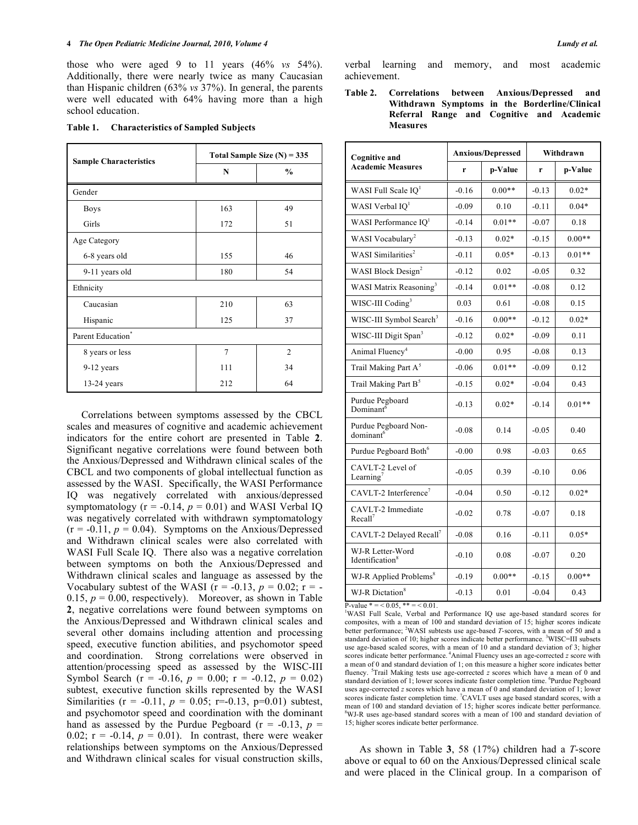those who were aged 9 to 11 years (46% *vs* 54%). Additionally, there were nearly twice as many Caucasian than Hispanic children (63% *vs* 37%). In general, the parents were well educated with 64% having more than a high school education.

| <b>Sample Characteristics</b> | Total Sample Size $(N) = 335$ |                |  |  |  |
|-------------------------------|-------------------------------|----------------|--|--|--|
|                               | N                             | $\frac{0}{0}$  |  |  |  |
| Gender                        |                               |                |  |  |  |
| <b>Boys</b>                   | 163                           | 49             |  |  |  |
| Girls                         | 172                           | 51             |  |  |  |
| Age Category                  |                               |                |  |  |  |
| 6-8 years old                 | 155                           | 46             |  |  |  |
| 9-11 years old                | 180                           | 54             |  |  |  |
| Ethnicity                     |                               |                |  |  |  |
| Caucasian                     | 210                           | 63             |  |  |  |
| Hispanic                      | 125                           | 37             |  |  |  |
| Parent Education <sup>*</sup> |                               |                |  |  |  |
| 8 years or less               | $\overline{7}$                | $\overline{2}$ |  |  |  |
| $9-12$ years                  | 111                           | 34             |  |  |  |
| $13-24$ years                 | 212                           | 64             |  |  |  |

 Correlations between symptoms assessed by the CBCL scales and measures of cognitive and academic achievement indicators for the entire cohort are presented in Table **2**. Significant negative correlations were found between both the Anxious/Depressed and Withdrawn clinical scales of the CBCL and two components of global intellectual function as assessed by the WASI. Specifically, the WASI Performance IQ was negatively correlated with anxious/depressed symptomatology ( $r = -0.14$ ,  $p = 0.01$ ) and WASI Verbal IQ was negatively correlated with withdrawn symptomatology  $(r = -0.11, p = 0.04)$ . Symptoms on the Anxious/Depressed and Withdrawn clinical scales were also correlated with WASI Full Scale IQ. There also was a negative correlation between symptoms on both the Anxious/Depressed and Withdrawn clinical scales and language as assessed by the Vocabulary subtest of the WASI ( $r = -0.13$ ,  $p = 0.02$ ;  $r = -1$ 0.15,  $p = 0.00$ , respectively). Moreover, as shown in Table **2**, negative correlations were found between symptoms on the Anxious/Depressed and Withdrawn clinical scales and several other domains including attention and processing speed, executive function abilities, and psychomotor speed and coordination. Strong correlations were observed in attention/processing speed as assessed by the WISC-III Symbol Search ( $r = -0.16$ ,  $p = 0.00$ ;  $r = -0.12$ ,  $p = 0.02$ ) subtest, executive function skills represented by the WASI Similarities ( $r = -0.11$ ,  $p = 0.05$ ;  $r = -0.13$ ,  $p = 0.01$ ) subtest, and psychomotor speed and coordination with the dominant hand as assessed by the Purdue Pegboard ( $r = -0.13$ ,  $p =$ 0.02;  $r = -0.14$ ,  $p = 0.01$ ). In contrast, there were weaker relationships between symptoms on the Anxious/Depressed and Withdrawn clinical scales for visual construction skills, verbal learning and memory, and most academic achievement.

**Table 2. Correlations between Anxious/Depressed and Withdrawn Symptoms in the Borderline/Clinical Referral Range and Cognitive and Academic Measures** 

| <b>Cognitive and</b>                            |         | <b>Anxious/Depressed</b> | Withdrawn |          |  |
|-------------------------------------------------|---------|--------------------------|-----------|----------|--|
| <b>Academic Measures</b>                        | r       | p-Value                  | r         | p-Value  |  |
| WASI Full Scale $IQ1$                           | $-0.16$ | $0.00**$                 | $-0.13$   | $0.02*$  |  |
| WASI Verbal IQ <sup>1</sup>                     | $-0.09$ | 0.10                     | $-0.11$   | $0.04*$  |  |
| WASI Performance IQ <sup>1</sup>                | $-0.14$ | $0.01**$                 | $-0.07$   | 0.18     |  |
| WASI Vocabulary <sup>2</sup>                    | $-0.13$ | $0.02*$                  | $-0.15$   | $0.00**$ |  |
| WASI Similarities <sup>2</sup>                  | $-0.11$ | $0.05*$                  | $-0.13$   | $0.01**$ |  |
| WASI Block Design <sup>2</sup>                  | $-0.12$ | 0.02                     | $-0.05$   | 0.32     |  |
| WASI Matrix Reasoning <sup>3</sup>              | $-0.14$ | $0.01**$                 | $-0.08$   | 0.12     |  |
| WISC-III Coding <sup>3</sup>                    | 0.03    | 0.61                     | $-0.08$   | 0.15     |  |
| WISC-III Symbol Search <sup>3</sup>             | $-0.16$ | $0.00**$                 | $-0.12$   | $0.02*$  |  |
| WISC-III Digit Span3                            | $-0.12$ | $0.02*$                  | $-0.09$   | 0.11     |  |
| Animal Fluency <sup>4</sup>                     | $-0.00$ | 0.95                     | $-0.08$   | 0.13     |  |
| Trail Making Part A <sup>5</sup>                | $-0.06$ | $0.01**$                 | $-0.09$   | 0.12     |  |
| Trail Making Part B <sup>5</sup>                | $-0.15$ | $0.02*$                  | $-0.04$   | 0.43     |  |
| Purdue Pegboard<br>Dominant                     | $-0.13$ | $0.02*$                  | $-0.14$   | $0.01**$ |  |
| Purdue Pegboard Non-<br>dominant <sup>6</sup>   | $-0.08$ | 0.14                     | $-0.05$   | 0.40     |  |
| Purdue Pegboard Both <sup>6</sup>               | $-0.00$ | 0.98                     | $-0.03$   | 0.65     |  |
| CAVLT-2 Level of<br>Learning <sup>7</sup>       | $-0.05$ | 0.39                     | $-0.10$   | 0.06     |  |
| CAVLT-2 Interference <sup>7</sup>               | $-0.04$ | 0.50                     | $-0.12$   | $0.02*$  |  |
| CAVLT-2 Immediate<br>$Recall^7$                 | $-0.02$ | 0.78                     | $-0.07$   | 0.18     |  |
| CAVLT-2 Delayed Recall <sup>7</sup>             | $-0.08$ | 0.16                     | $-0.11$   | $0.05*$  |  |
| WJ-R Letter-Word<br>Identification <sup>8</sup> | $-0.10$ | 0.08                     | $-0.07$   | 0.20     |  |
| WJ-R Applied Problems <sup>8</sup>              | $-0.19$ | $0.00**$                 | $-0.15$   | $0.00**$ |  |
| WJ-R Dictation <sup>8</sup>                     | $-0.13$ | 0.01                     | $-0.04$   | 0.43     |  |

P-value  $* = 0.05$ ,  $* = 0.01$ .

<sup>1</sup>WASI Full Scale, Verbal and Performance IQ use age-based standard scores for composites, with a mean of 100 and standard deviation of 15; higher scores indicate better performance; <sup>2</sup>WASI subtests use age-based *T*-scores, with a mean of 50 and a standard deviation of 10; higher scores indicate better performance. <sup>3</sup>WISC=III subsets use age-based scaled scores, with a mean of 10 and a standard deviation of 3; higher scores indicate better performance. 4Animal Fluency uses an age-corrected *z* score with a mean of 0 and standard deviation of 1; on this measure a higher score indicates better fluency. <sup>5</sup> Trail Making tests use age-corrected *z* scores which have a mean of 0 and standard deviation of 1; lower scores indicate faster completion time. <sup>6</sup>Purdue Pegboard uses age-corrected *z* scores which have a mean of 0 and standard deviation of 1; lower scores indicate faster completion time. <sup>7</sup>CAVLT uses age based standard scores, with a mean of 100 and standard deviation of 15; higher scores indicate better performance. <sup>8</sup>WJ-R uses age-based standard scores with a mean of 100 and standard deviation of 15; higher scores indicate better performance.

 As shown in Table **3**, 58 (17%) children had a *T*-score above or equal to 60 on the Anxious/Depressed clinical scale and were placed in the Clinical group. In a comparison of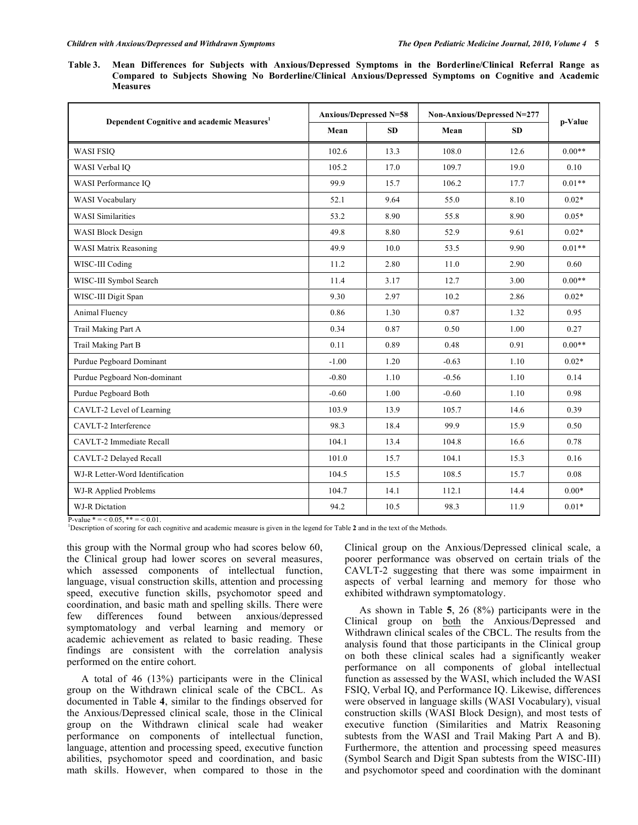**Table 3. Mean Differences for Subjects with Anxious/Depressed Symptoms in the Borderline/Clinical Referral Range as Compared to Subjects Showing No Borderline/Clinical Anxious/Depressed Symptoms on Cognitive and Academic Measures** 

| Dependent Cognitive and academic Measures <sup>1</sup> | <b>Anxious/Depressed N=58</b> |           | Non-Anxious/Depressed N=277 |           |          |  |
|--------------------------------------------------------|-------------------------------|-----------|-----------------------------|-----------|----------|--|
|                                                        | Mean                          | <b>SD</b> | Mean                        | <b>SD</b> | p-Value  |  |
| <b>WASI FSIO</b>                                       | 102.6                         | 13.3      | 108.0                       | 12.6      | $0.00**$ |  |
| WASI Verbal IO                                         | 105.2                         | 17.0      | 109.7                       | 19.0      | 0.10     |  |
| WASI Performance IO                                    | 99.9                          | 15.7      | 106.2                       | 17.7      | $0.01**$ |  |
| <b>WASI</b> Vocabulary                                 | 52.1                          | 9.64      | 55.0                        | 8.10      | $0.02*$  |  |
| <b>WASI</b> Similarities                               | 53.2                          | 8.90      | 55.8                        | 8.90      | $0.05*$  |  |
| <b>WASI Block Design</b>                               | 49.8                          | 8.80      | 52.9                        | 9.61      | $0.02*$  |  |
| <b>WASI Matrix Reasoning</b>                           | 49.9                          | 10.0      | 53.5                        | 9.90      | $0.01**$ |  |
| WISC-III Coding                                        | 11.2                          | 2.80      | 11.0                        | 2.90      | 0.60     |  |
| WISC-III Symbol Search                                 | 11.4                          | 3.17      | 12.7                        | 3.00      | $0.00**$ |  |
| WISC-III Digit Span                                    | 9.30                          | 2.97      | 10.2                        | 2.86      | $0.02*$  |  |
| Animal Fluency                                         | 0.86                          | 1.30      | 0.87                        | 1.32      | 0.95     |  |
| Trail Making Part A                                    | 0.34                          | 0.87      | 0.50                        | 1.00      | 0.27     |  |
| Trail Making Part B                                    | 0.11                          | 0.89      | 0.48                        | 0.91      | $0.00**$ |  |
| Purdue Pegboard Dominant                               | $-1.00$                       | 1.20      | $-0.63$                     | 1.10      | $0.02*$  |  |
| Purdue Pegboard Non-dominant                           | $-0.80$                       | 1.10      | $-0.56$                     | 1.10      | 0.14     |  |
| Purdue Pegboard Both                                   | $-0.60$                       | 1.00      | $-0.60$                     | 1.10      | 0.98     |  |
| CAVLT-2 Level of Learning                              | 103.9                         | 13.9      | 105.7                       | 14.6      | 0.39     |  |
| CAVLT-2 Interference                                   | 98.3                          | 18.4      | 99.9                        | 15.9      | 0.50     |  |
| CAVLT-2 Immediate Recall                               | 104.1                         | 13.4      | 104.8                       | 16.6      | 0.78     |  |
| CAVLT-2 Delayed Recall                                 | 101.0                         | 15.7      | 104.1                       | 15.3      | 0.16     |  |
| WJ-R Letter-Word Identification                        | 104.5                         | 15.5      | 108.5                       | 15.7      | 0.08     |  |
| WJ-R Applied Problems                                  | 104.7                         | 14.1      | 112.1                       | 14.4      | $0.00*$  |  |
| <b>WJ-R</b> Dictation                                  | 94.2                          | 10.5      | 98.3                        | 11.9      | $0.01*$  |  |

P-value  $* = 0.05$ ,  $** = 0.01$ .

<sup>1</sup>Description of scoring for each cognitive and academic measure is given in the legend for Table 2 and in the text of the Methods.

this group with the Normal group who had scores below 60, the Clinical group had lower scores on several measures, which assessed components of intellectual function, language, visual construction skills, attention and processing speed, executive function skills, psychomotor speed and coordination, and basic math and spelling skills. There were few differences found between anxious/depressed symptomatology and verbal learning and memory or academic achievement as related to basic reading. These findings are consistent with the correlation analysis performed on the entire cohort.

 A total of 46 (13%) participants were in the Clinical group on the Withdrawn clinical scale of the CBCL. As documented in Table **4**, similar to the findings observed for the Anxious/Depressed clinical scale, those in the Clinical group on the Withdrawn clinical scale had weaker performance on components of intellectual function, language, attention and processing speed, executive function abilities, psychomotor speed and coordination, and basic math skills. However, when compared to those in the

Clinical group on the Anxious/Depressed clinical scale, a poorer performance was observed on certain trials of the CAVLT-2 suggesting that there was some impairment in aspects of verbal learning and memory for those who exhibited withdrawn symptomatology.

 As shown in Table **5**, 26 (8%) participants were in the Clinical group on both the Anxious/Depressed and Withdrawn clinical scales of the CBCL. The results from the analysis found that those participants in the Clinical group on both these clinical scales had a significantly weaker performance on all components of global intellectual function as assessed by the WASI, which included the WASI FSIQ, Verbal IQ, and Performance IQ. Likewise, differences were observed in language skills (WASI Vocabulary), visual construction skills (WASI Block Design), and most tests of executive function (Similarities and Matrix Reasoning subtests from the WASI and Trail Making Part A and B). Furthermore, the attention and processing speed measures (Symbol Search and Digit Span subtests from the WISC-III) and psychomotor speed and coordination with the dominant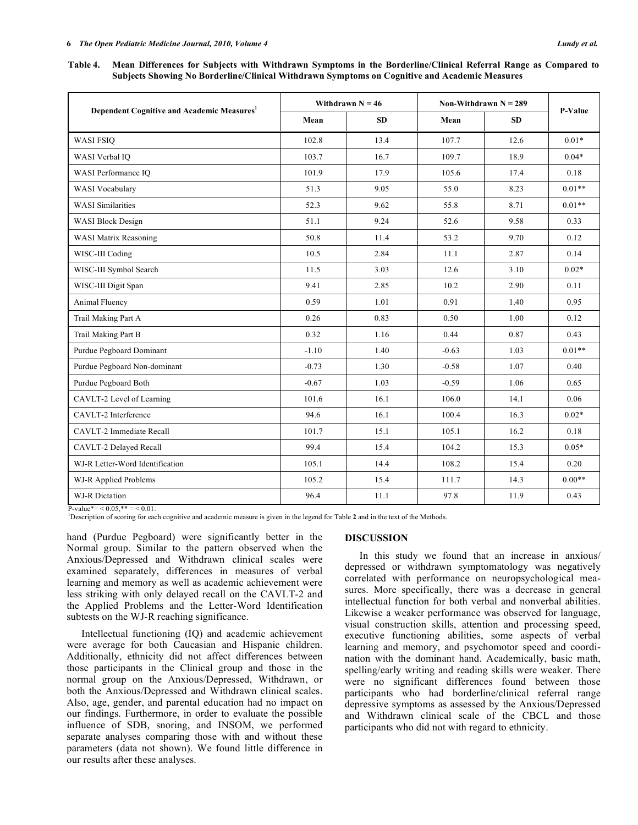**Table 4. Mean Differences for Subjects with Withdrawn Symptoms in the Borderline/Clinical Referral Range as Compared to Subjects Showing No Borderline/Clinical Withdrawn Symptoms on Cognitive and Academic Measures** 

| Dependent Cognitive and Academic Measures <sup>1</sup> | Withdrawn $N = 46$ |           | Non-Withdrawn $N = 289$ |           |                |
|--------------------------------------------------------|--------------------|-----------|-------------------------|-----------|----------------|
|                                                        | Mean               | <b>SD</b> | Mean                    | <b>SD</b> | <b>P-Value</b> |
| <b>WASI FSIO</b>                                       | 102.8              | 13.4      | 107.7                   | 12.6      | $0.01*$        |
| WASI Verbal IO                                         | 103.7              | 16.7      | 109.7                   | 18.9      | $0.04*$        |
| WASI Performance IO                                    | 101.9              | 17.9      | 105.6                   | 17.4      | 0.18           |
| <b>WASI</b> Vocabulary                                 | 51.3               | 9.05      | 55.0                    | 8.23      | $0.01**$       |
| <b>WASI</b> Similarities                               | 52.3               | 9.62      | 55.8                    | 8.71      | $0.01**$       |
| <b>WASI Block Design</b>                               | 51.1               | 9.24      | 52.6                    | 9.58      | 0.33           |
| <b>WASI Matrix Reasoning</b>                           | 50.8               | 11.4      | 53.2                    | 9.70      | 0.12           |
| WISC-III Coding                                        | 10.5               | 2.84      | 11.1                    | 2.87      | 0.14           |
| WISC-III Symbol Search                                 | 11.5               | 3.03      | 12.6                    | 3.10      | $0.02*$        |
| WISC-III Digit Span                                    | 9.41               | 2.85      | 10.2                    | 2.90      | 0.11           |
| Animal Fluency                                         | 0.59               | 1.01      | 0.91                    | 1.40      | 0.95           |
| Trail Making Part A                                    | 0.26               | 0.83      | 0.50                    | 1.00      | 0.12           |
| Trail Making Part B                                    | 0.32               | 1.16      | 0.44                    | 0.87      | 0.43           |
| Purdue Pegboard Dominant                               | $-1.10$            | 1.40      | $-0.63$                 | 1.03      | $0.01**$       |
| Purdue Pegboard Non-dominant                           | $-0.73$            | 1.30      | $-0.58$                 | 1.07      | 0.40           |
| Purdue Pegboard Both                                   | $-0.67$            | 1.03      | $-0.59$                 | 1.06      | 0.65           |
| CAVLT-2 Level of Learning                              | 101.6              | 16.1      | 106.0                   | 14.1      | 0.06           |
| CAVLT-2 Interference                                   | 94.6               | 16.1      | 100.4                   | 16.3      | $0.02*$        |
| CAVLT-2 Immediate Recall                               | 101.7              | 15.1      | 105.1                   | 16.2      | 0.18           |
| CAVLT-2 Delayed Recall                                 | 99.4               | 15.4      | 104.2                   | 15.3      | $0.05*$        |
| WJ-R Letter-Word Identification                        | 105.1              | 14.4      | 108.2                   | 15.4      | 0.20           |
| WJ-R Applied Problems                                  | 105.2              | 15.4      | 111.7                   | 14.3      | $0.00**$       |
| <b>WJ-R</b> Dictation                                  | 96.4               | 11.1      | 97.8                    | 11.9      | 0.43           |

P-value\*=  $< 0.05$ ,\*\* =  $< 0.01$ .

<sup>1</sup>Description of scoring for each cognitive and academic measure is given in the legend for Table 2 and in the text of the Methods.

hand (Purdue Pegboard) were significantly better in the Normal group. Similar to the pattern observed when the Anxious/Depressed and Withdrawn clinical scales were examined separately, differences in measures of verbal learning and memory as well as academic achievement were less striking with only delayed recall on the CAVLT-2 and the Applied Problems and the Letter-Word Identification subtests on the WJ-R reaching significance.

 Intellectual functioning (IQ) and academic achievement were average for both Caucasian and Hispanic children. Additionally, ethnicity did not affect differences between those participants in the Clinical group and those in the normal group on the Anxious/Depressed, Withdrawn, or both the Anxious/Depressed and Withdrawn clinical scales. Also, age, gender, and parental education had no impact on our findings. Furthermore, in order to evaluate the possible influence of SDB, snoring, and INSOM, we performed separate analyses comparing those with and without these parameters (data not shown). We found little difference in our results after these analyses.

#### **DISCUSSION**

 In this study we found that an increase in anxious/ depressed or withdrawn symptomatology was negatively correlated with performance on neuropsychological measures. More specifically, there was a decrease in general intellectual function for both verbal and nonverbal abilities. Likewise a weaker performance was observed for language, visual construction skills, attention and processing speed, executive functioning abilities, some aspects of verbal learning and memory, and psychomotor speed and coordination with the dominant hand. Academically, basic math, spelling/early writing and reading skills were weaker. There were no significant differences found between those participants who had borderline/clinical referral range depressive symptoms as assessed by the Anxious/Depressed and Withdrawn clinical scale of the CBCL and those participants who did not with regard to ethnicity.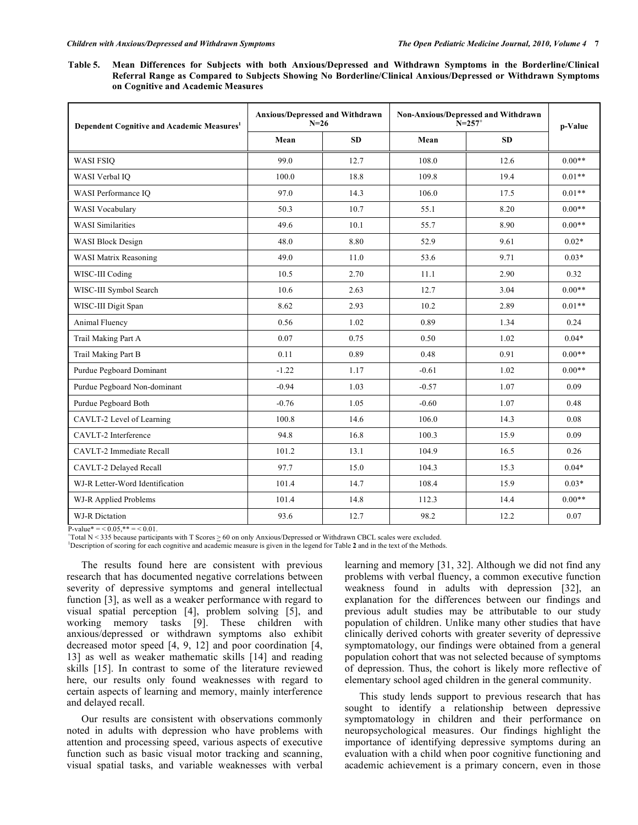**Table 5. Mean Differences for Subjects with both Anxious/Depressed and Withdrawn Symptoms in the Borderline/Clinical Referral Range as Compared to Subjects Showing No Borderline/Clinical Anxious/Depressed or Withdrawn Symptoms on Cognitive and Academic Measures** 

| Dependent Cognitive and Academic Measures <sup>1</sup> | <b>Anxious/Depressed and Withdrawn</b><br>$N=26$ |           | Non-Anxious/Depressed and Withdrawn<br>$N = 257$ <sup>+</sup> | p-Value   |          |
|--------------------------------------------------------|--------------------------------------------------|-----------|---------------------------------------------------------------|-----------|----------|
|                                                        | Mean                                             | <b>SD</b> | Mean                                                          | <b>SD</b> |          |
| <b>WASI FSIO</b>                                       | 99.0                                             | 12.7      | 108.0                                                         | 12.6      | $0.00**$ |
| WASI Verbal IO                                         | 100.0                                            | 18.8      | 109.8                                                         | 19.4      | $0.01**$ |
| WASI Performance IO                                    | 97.0                                             | 14.3      | 106.0                                                         | 17.5      | $0.01**$ |
| <b>WASI</b> Vocabulary                                 | 50.3                                             | 10.7      | 55.1                                                          | 8.20      | $0.00**$ |
| <b>WASI</b> Similarities                               | 49.6                                             | 10.1      | 55.7                                                          | 8.90      | $0.00**$ |
| <b>WASI Block Design</b>                               | 48.0                                             | 8.80      | 52.9                                                          | 9.61      | $0.02*$  |
| <b>WASI Matrix Reasoning</b>                           | 49.0                                             | 11.0      | 53.6                                                          | 9.71      | $0.03*$  |
| WISC-III Coding                                        | 10.5                                             | 2.70      | 11.1                                                          | 2.90      | 0.32     |
| WISC-III Symbol Search                                 | 10.6                                             | 2.63      | 12.7                                                          | 3.04      | $0.00**$ |
| WISC-III Digit Span                                    | 8.62                                             | 2.93      | 10.2                                                          | 2.89      | $0.01**$ |
| Animal Fluency                                         | 0.56                                             | 1.02      | 0.89                                                          | 1.34      | 0.24     |
| Trail Making Part A                                    | 0.07                                             | 0.75      | 0.50                                                          | 1.02      | $0.04*$  |
| Trail Making Part B                                    | 0.11                                             | 0.89      | 0.48                                                          | 0.91      | $0.00**$ |
| Purdue Pegboard Dominant                               | $-1.22$                                          | 1.17      | $-0.61$                                                       | 1.02      | $0.00**$ |
| Purdue Pegboard Non-dominant                           | $-0.94$                                          | 1.03      | $-0.57$                                                       | 1.07      | 0.09     |
| Purdue Pegboard Both                                   | $-0.76$                                          | 1.05      | $-0.60$                                                       | 1.07      | 0.48     |
| CAVLT-2 Level of Learning                              | 100.8                                            | 14.6      | 106.0                                                         | 14.3      | 0.08     |
| CAVLT-2 Interference                                   | 94.8                                             | 16.8      | 100.3                                                         | 15.9      | 0.09     |
| CAVLT-2 Immediate Recall                               | 101.2                                            | 13.1      | 104.9                                                         | 16.5      | 0.26     |
| CAVLT-2 Delayed Recall                                 | 97.7                                             | 15.0      | 104.3                                                         | 15.3      | $0.04*$  |
| WJ-R Letter-Word Identification                        | 101.4                                            | 14.7      | 108.4                                                         | 15.9      | $0.03*$  |
| WJ-R Applied Problems                                  | 101.4                                            | 14.8      | 112.3                                                         | 14.4      | $0.00**$ |
| <b>WJ-R</b> Dictation                                  | 93.6                                             | 12.7      | 98.2                                                          | 12.2      | 0.07     |

 $P-value^* = 0.05$ ,\*\* = < 0.01.

 $+$ Total N < 335 because participants with T Scores  $\geq 60$  on only Anxious/Depressed or Withdrawn CBCL scales were excluded.

Description of scoring for each cognitive and academic measure is given in the legend for Table **2** and in the text of the Methods.

 The results found here are consistent with previous research that has documented negative correlations between severity of depressive symptoms and general intellectual function [3], as well as a weaker performance with regard to visual spatial perception [4], problem solving [5], and working memory tasks [9]. These children with anxious/depressed or withdrawn symptoms also exhibit decreased motor speed [4, 9, 12] and poor coordination [4, 13] as well as weaker mathematic skills [14] and reading skills [15]. In contrast to some of the literature reviewed here, our results only found weaknesses with regard to certain aspects of learning and memory, mainly interference and delayed recall.

 Our results are consistent with observations commonly noted in adults with depression who have problems with attention and processing speed, various aspects of executive function such as basic visual motor tracking and scanning, visual spatial tasks, and variable weaknesses with verbal learning and memory [31, 32]. Although we did not find any problems with verbal fluency, a common executive function weakness found in adults with depression [32], an explanation for the differences between our findings and previous adult studies may be attributable to our study population of children. Unlike many other studies that have clinically derived cohorts with greater severity of depressive symptomatology, our findings were obtained from a general population cohort that was not selected because of symptoms of depression. Thus, the cohort is likely more reflective of elementary school aged children in the general community.

 This study lends support to previous research that has sought to identify a relationship between depressive symptomatology in children and their performance on neuropsychological measures. Our findings highlight the importance of identifying depressive symptoms during an evaluation with a child when poor cognitive functioning and academic achievement is a primary concern, even in those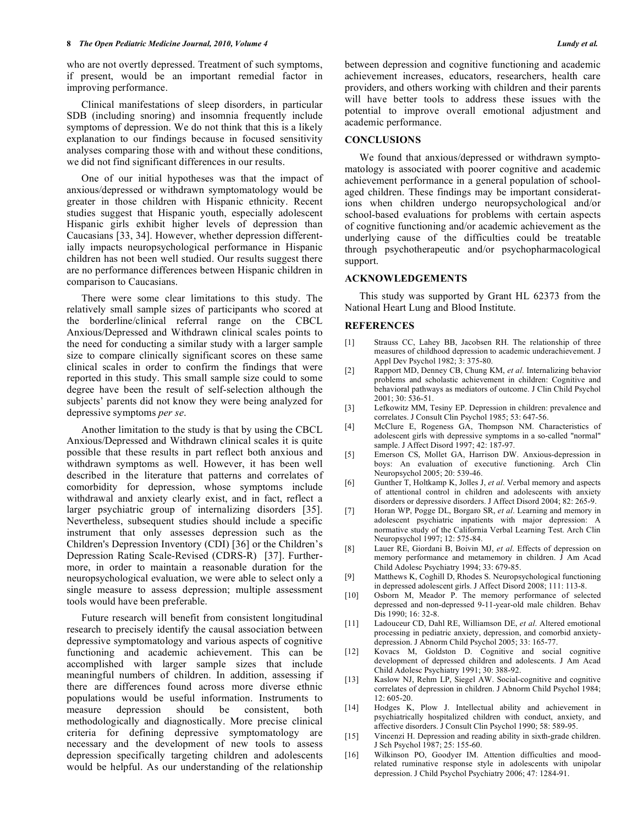who are not overtly depressed. Treatment of such symptoms, if present, would be an important remedial factor in improving performance.

 Clinical manifestations of sleep disorders, in particular SDB (including snoring) and insomnia frequently include symptoms of depression. We do not think that this is a likely explanation to our findings because in focused sensitivity analyses comparing those with and without these conditions, we did not find significant differences in our results.

 One of our initial hypotheses was that the impact of anxious/depressed or withdrawn symptomatology would be greater in those children with Hispanic ethnicity. Recent studies suggest that Hispanic youth, especially adolescent Hispanic girls exhibit higher levels of depression than Caucasians [33, 34]. However, whether depression differentially impacts neuropsychological performance in Hispanic children has not been well studied. Our results suggest there are no performance differences between Hispanic children in comparison to Caucasians.

 There were some clear limitations to this study. The relatively small sample sizes of participants who scored at the borderline/clinical referral range on the CBCL Anxious/Depressed and Withdrawn clinical scales points to the need for conducting a similar study with a larger sample size to compare clinically significant scores on these same clinical scales in order to confirm the findings that were reported in this study. This small sample size could to some degree have been the result of self-selection although the subjects' parents did not know they were being analyzed for depressive symptoms *per se*.

 Another limitation to the study is that by using the CBCL Anxious/Depressed and Withdrawn clinical scales it is quite possible that these results in part reflect both anxious and withdrawn symptoms as well. However, it has been well described in the literature that patterns and correlates of comorbidity for depression, whose symptoms include withdrawal and anxiety clearly exist, and in fact, reflect a larger psychiatric group of internalizing disorders [35]. Nevertheless, subsequent studies should include a specific instrument that only assesses depression such as the Children's Depression Inventory (CDI) [36] or the Children's Depression Rating Scale-Revised (CDRS-R) [37]. Furthermore, in order to maintain a reasonable duration for the neuropsychological evaluation, we were able to select only a single measure to assess depression; multiple assessment tools would have been preferable.

 Future research will benefit from consistent longitudinal research to precisely identify the causal association between depressive symptomatology and various aspects of cognitive functioning and academic achievement. This can be accomplished with larger sample sizes that include meaningful numbers of children. In addition, assessing if there are differences found across more diverse ethnic populations would be useful information. Instruments to measure depression should be consistent, both methodologically and diagnostically. More precise clinical criteria for defining depressive symptomatology are necessary and the development of new tools to assess depression specifically targeting children and adolescents would be helpful. As our understanding of the relationship

#### **CONCLUSIONS**

We found that anxious/depressed or withdrawn symptomatology is associated with poorer cognitive and academic achievement performance in a general population of schoolaged children. These findings may be important considerations when children undergo neuropsychological and/or school-based evaluations for problems with certain aspects of cognitive functioning and/or academic achievement as the underlying cause of the difficulties could be treatable through psychotherapeutic and/or psychopharmacological support.

#### **ACKNOWLEDGEMENTS**

 This study was supported by Grant HL 62373 from the National Heart Lung and Blood Institute.

### **REFERENCES**

- [1] Strauss CC, Lahey BB, Jacobsen RH. The relationship of three measures of childhood depression to academic underachievement. J Appl Dev Psychol 1982; 3: 375-80.
- [2] Rapport MD, Denney CB, Chung KM, *et al*. Internalizing behavior problems and scholastic achievement in children: Cognitive and behavioral pathways as mediators of outcome. J Clin Child Psychol 2001; 30: 536-51.
- [3] Lefkowitz MM, Tesiny EP. Depression in children: prevalence and correlates. J Consult Clin Psychol 1985; 53: 647-56.
- [4] McClure E, Rogeness GA, Thompson NM. Characteristics of adolescent girls with depressive symptoms in a so-called "normal" sample. J Affect Disord 1997; 42: 187-97.
- [5] Emerson CS, Mollet GA, Harrison DW. Anxious-depression in boys: An evaluation of executive functioning. Arch Clin Neuropsychol 2005; 20: 539-46.
- [6] Gunther T, Holtkamp K, Jolles J, *et al*. Verbal memory and aspects of attentional control in children and adolescents with anxiety disorders or depressive disorders. J Affect Disord 2004; 82: 265-9.
- [7] Horan WP, Pogge DL, Borgaro SR, *et al*. Learning and memory in adolescent psychiatric inpatients with major depression: A normative study of the California Verbal Learning Test. Arch Clin Neuropsychol 1997; 12: 575-84.
- [8] Lauer RE, Giordani B, Boivin MJ, *et al*. Effects of depression on memory performance and metamemory in children. J Am Acad Child Adolesc Psychiatry 1994; 33: 679-85.
- [9] Matthews K, Coghill D, Rhodes S. Neuropsychological functioning in depressed adolescent girls. J Affect Disord 2008; 111: 113-8.
- [10] Osborn M, Meador P. The memory performance of selected depressed and non-depressed 9-11-year-old male children. Behav Dis 1990; 16: 32-8.
- [11] Ladouceur CD, Dahl RE, Williamson DE, *et al*. Altered emotional processing in pediatric anxiety, depression, and comorbid anxietydepression. J Abnorm Child Psychol 2005; 33: 165-77.
- [12] Kovacs M, Goldston D. Cognitive and social cognitive development of depressed children and adolescents. J Am Acad Child Adolesc Psychiatry 1991; 30: 388-92.
- [13] Kaslow NJ, Rehm LP, Siegel AW. Social-cognitive and cognitive correlates of depression in children. J Abnorm Child Psychol 1984; 12: 605-20.
- [14] Hodges K, Plow J. Intellectual ability and achievement in psychiatrically hospitalized children with conduct, anxiety, and affective disorders. J Consult Clin Psychol 1990; 58: 589-95.
- [15] Vincenzi H. Depression and reading ability in sixth-grade children. J Sch Psychol 1987; 25: 155-60.
- [16] Wilkinson PO, Goodyer IM. Attention difficulties and moodrelated ruminative response style in adolescents with unipolar depression. J Child Psychol Psychiatry 2006; 47: 1284-91.